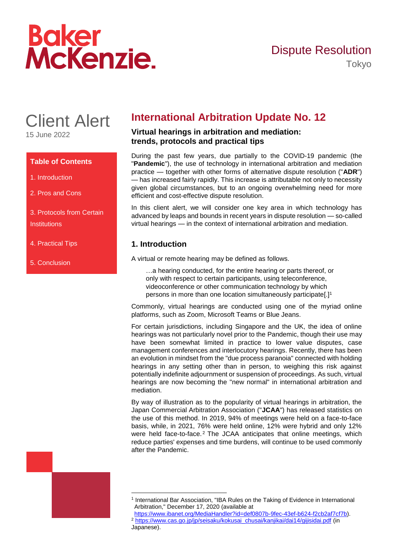# Baker<br>McKenzie.

### Dispute Resolution Tokyo

# Client Alert

15 June 2022

#### **Table of Contents**

- 1. Introduction
- 2. Pros and Cons

3. Protocols from Certain **Institutions** 

- 4. Practical Tips
- 5. Conclusion

## **International Arbitration Update No. 12**

#### **Virtual hearings in arbitration and mediation: trends, protocols and practical tips**

During the past few years, due partially to the COVID-19 pandemic (the "**Pandemic**"), the use of technology in international arbitration and mediation practice — together with other forms of alternative dispute resolution ("**ADR**") — has increased fairly rapidly. This increase is attributable not only to necessity given global circumstances, but to an ongoing overwhelming need for more efficient and cost-effective dispute resolution.

In this client alert, we will consider one key area in which technology has advanced by leaps and bounds in recent years in dispute resolution — so-called virtual hearings — in the context of international arbitration and mediation.

#### **1. Introduction**

A virtual or remote hearing may be defined as follows.

…a hearing conducted, for the entire hearing or parts thereof, or only with respect to certain participants, using teleconference, videoconference or other communication technology by which persons in more than one location simultaneously participate[.]<sup>1</sup>

Commonly, virtual hearings are conducted using one of the myriad online platforms, such as Zoom, Microsoft Teams or Blue Jeans.

For certain jurisdictions, including Singapore and the UK, the idea of online hearings was not particularly novel prior to the Pandemic, though their use may have been somewhat limited in practice to lower value disputes, case management conferences and interlocutory hearings. Recently, there has been an evolution in mindset from the "due process paranoia" connected with holding hearings in any setting other than in person, to weighing this risk against potentially indefinite adjournment or suspension of proceedings. As such, virtual hearings are now becoming the "new normal" in international arbitration and mediation.

By way of illustration as to the popularity of virtual hearings in arbitration, the Japan Commercial Arbitration Association ("**JCAA**") has released statistics on the use of this method. In 2019, 94% of meetings were held on a face-to-face basis, while, in 2021, 76% were held online, 12% were hybrid and only 12% were held face-to-face.<sup>2</sup> The JCAA anticipates that online meetings, which reduce parties' expenses and time burdens, will continue to be used commonly after the Pandemic.



<sup>1</sup> International Bar Association, "IBA Rules on the Taking of Evidence in International Arbitration," December 17, 2020 (available at

-

[https://www.ibanet.org/MediaHandler?id=def0807b-9fec-43ef-b624-f2cb2af7cf7b\)](https://www.ibanet.org/MediaHandler?id=def0807b-9fec-43ef-b624-f2cb2af7cf7b). <sup>2</sup> [https://www.cas.go.jp/jp/seisaku/kokusai\\_chusai/kanjikai/dai14/gijisidai.pdf](https://www.cas.go.jp/jp/seisaku/kokusai_chusai/kanjikai/dai14/gijisidai.pdf) (in

Japanese).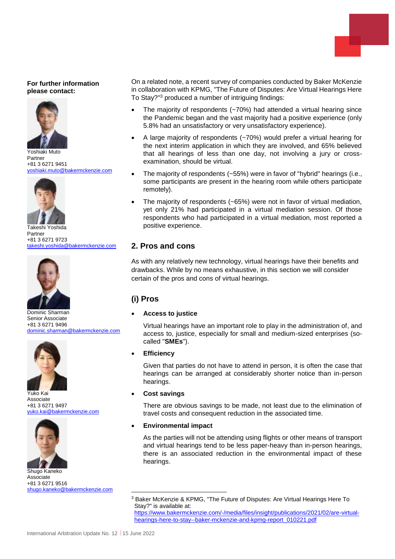#### **For further information please contact:**



Yoshiaki Muto Partner +81 3 6271 9451 yoshiaki.muto@bakermckenzie.com



Takeshi Yoshida Partner +81 3 6271 9723 [takeshi.yoshida@bakermckenzie.com](mailto:takeshi.yoshida@bakermckenzie.com)



Dominic Sharman Senior Associate +81 3 6271 9496 [dominic.sharman@bakermckenzie.com](mailto:dominic.sharman@bakermckenzie.com)



Yuko Kai Associate +81 3 6271 9497 yuko.kai@bakermckenzie.com



Shugo Kaneko Associate +81 3 6271 9516 [shugo.kaneko@bakermckenzie.com](mailto:shugo.kaneko@bakermckenzie.com)

On a related note, a recent survey of companies conducted by Baker McKenzie in collaboration with KPMG, "The Future of Disputes: Are Virtual Hearings Here To Stay?" <sup>3</sup> produced a number of intriguing findings:

- The majority of respondents (~70%) had attended a virtual hearing since the Pandemic began and the vast majority had a positive experience (only 5.8% had an unsatisfactory or very unsatisfactory experience).
- A large majority of respondents (~70%) would prefer a virtual hearing for the next interim application in which they are involved, and 65% believed that all hearings of less than one day, not involving a jury or crossexamination, should be virtual.
- The majority of respondents (~55%) were in favor of "hybrid" hearings (i.e., some participants are present in the hearing room while others participate remotely).
- The majority of respondents (~65%) were not in favor of virtual mediation, yet only 21% had participated in a virtual mediation session. Of those respondents who had participated in a virtual mediation, most reported a positive experience.

#### **2. Pros and cons**

As with any relatively new technology, virtual hearings have their benefits and drawbacks. While by no means exhaustive, in this section we will consider certain of the pros and cons of virtual hearings.

#### **(i) Pros**

#### **Access to justice**

Virtual hearings have an important role to play in the administration of, and access to, justice, especially for small and medium-sized enterprises (socalled "**SMEs**").

#### **Efficiency**

Given that parties do not have to attend in person, it is often the case that hearings can be arranged at considerably shorter notice than in-person hearings.

#### **Cost savings**

-

There are obvious savings to be made, not least due to the elimination of travel costs and consequent reduction in the associated time.

#### **Environmental impact**

As the parties will not be attending using flights or other means of transport and virtual hearings tend to be less paper-heavy than in-person hearings, there is an associated reduction in the environmental impact of these hearings.

<sup>3</sup> Baker McKenzie & KPMG, "The Future of Disputes: Are Virtual Hearings Here To Stay?" is available at:

[https://www.bakermckenzie.com/-/media/files/insight/publications/2021/02/are-virtual](https://www.bakermckenzie.com/-/media/files/insight/publications/2021/02/are-virtual-hearings-here-to-stay--baker-mckenzie-and-kpmg-report_010221.pdf)[hearings-here-to-stay--baker-mckenzie-and-kpmg-report\\_010221.pdf](https://www.bakermckenzie.com/-/media/files/insight/publications/2021/02/are-virtual-hearings-here-to-stay--baker-mckenzie-and-kpmg-report_010221.pdf)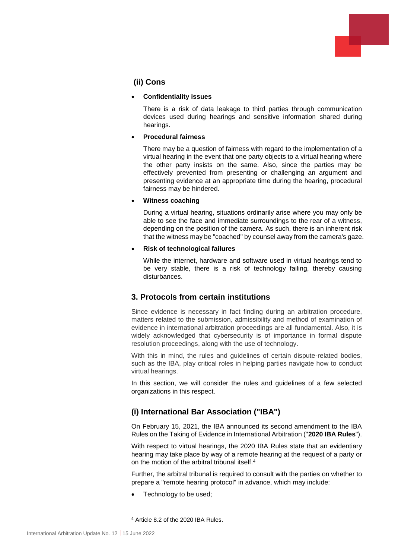

#### **(ii) Cons**

#### **Confidentiality issues**

There is a risk of data leakage to third parties through communication devices used during hearings and sensitive information shared during hearings.

#### **Procedural fairness**

There may be a question of fairness with regard to the implementation of a virtual hearing in the event that one party objects to a virtual hearing where the other party insists on the same. Also, since the parties may be effectively prevented from presenting or challenging an argument and presenting evidence at an appropriate time during the hearing, procedural fairness may be hindered.

#### **Witness coaching**

During a virtual hearing, situations ordinarily arise where you may only be able to see the face and immediate surroundings to the rear of a witness, depending on the position of the camera. As such, there is an inherent risk that the witness may be "coached" by counsel away from the camera's gaze.

#### **Risk of technological failures**

While the internet, hardware and software used in virtual hearings tend to be very stable, there is a risk of technology failing, thereby causing disturbances.

#### **3. Protocols from certain institutions**

Since evidence is necessary in fact finding during an arbitration procedure, matters related to the submission, admissibility and method of examination of evidence in international arbitration proceedings are all fundamental. Also, it is widely acknowledged that cybersecurity is of importance in formal dispute resolution proceedings, along with the use of technology.

With this in mind, the rules and guidelines of certain dispute-related bodies, such as the IBA, play critical roles in helping parties navigate how to conduct virtual hearings.

In this section, we will consider the rules and guidelines of a few selected organizations in this respect.

#### **(i) International Bar Association ("IBA")**

On February 15, 2021, the IBA announced its second amendment to the IBA Rules on the Taking of Evidence in International Arbitration ("**2020 IBA Rules**").

With respect to virtual hearings, the 2020 IBA Rules state that an evidentiary hearing may take place by way of a remote hearing at the request of a party or on the motion of the arbitral tribunal itself.<sup>4</sup>

Further, the arbitral tribunal is required to consult with the parties on whether to prepare a "remote hearing protocol" in advance, which may include:

Technology to be used;

-

<sup>4</sup> Article 8.2 of the 2020 IBA Rules.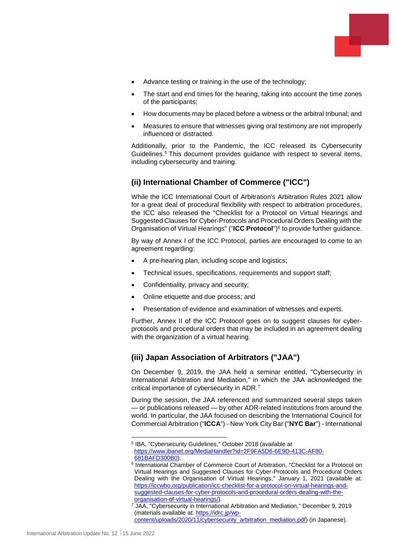- 
- Advance testing or training in the use of the technology;
- The start and end times for the hearing, taking into account the time zones of the participants;
- How documents may be placed before a witness or the arbitral tribunal; and
- Measures to ensure that witnesses giving oral testimony are not improperly influenced or distracted.

Additionally, prior to the Pandemic, the ICC released its Cybersecurity Guidelines.<sup>5</sup> This document provides guidance with respect to several items, including cybersecurity and training.

#### **(ii) International Chamber of Commerce ("ICC")**

While the ICC International Court of Arbitration's Arbitration Rules 2021 allow for a great deal of procedural flexibility with respect to arbitration procedures, the ICC also released the "Checklist for a Protocol on Virtual Hearings and Suggested Clauses for Cyber-Protocols and Procedural Orders Dealing with the Organisation of Virtual Hearings" ("**ICC Protocol**")<sup>6</sup> to provide further guidance.

By way of Annex I of the ICC Protocol, parties are encouraged to come to an agreement regarding:

- A pre-hearing plan, including scope and logistics;
- Technical issues, specifications, requirements and support staff;
- Confidentiality, privacy and security;
- Online etiquette and due process; and
- Presentation of evidence and examination of witnesses and experts.

Further, Annex II of the ICC Protocol goes on to suggest clauses for cyberprotocols and procedural orders that may be included in an agreement dealing with the organization of a virtual hearing.

#### **(iii) Japan Association of Arbitrators ("JAA")**

On December 9, 2019, the JAA held a seminar entitled, "Cybersecurity in International Arbitration and Mediation," in which the JAA acknowledged the critical importance of cybersecurity in ADR.<sup>7</sup>

During the session, the JAA referenced and summarized several steps taken — or publications released — by other ADR-related institutions from around the world. In particular, the JAA focused on describing the International Council for Commercial Arbitration ("**ICCA**") - New York City Bar ("**NYC Bar**") - International

<sup>1</sup> 5 IBA, "Cybersecurity Guidelines," October 2018 (available at [https://www.ibanet.org/MediaHandler?id=2F9FA5D6-6E9D-413C-AF80-](https://www.ibanet.org/MediaHandler?id=2F9FA5D6-6E9D-413C-AF80-681BAFD300B0) [681BAFD300B0\)](https://www.ibanet.org/MediaHandler?id=2F9FA5D6-6E9D-413C-AF80-681BAFD300B0).

<sup>&</sup>lt;sup>6</sup> International Chamber of Commerce Court of Arbitration, "Checklist for a Protocol on Virtual Hearings and Suggested Clauses for Cyber-Protocols and Procedural Orders Dealing with the Organisation of Virtual Hearings," January 1, 2021 (available at: [https://iccwbo.org/publication/icc-checklist-for-a-protocol-on-virtual-hearings-and](https://iccwbo.org/publication/icc-checklist-for-a-protocol-on-virtual-hearings-and-suggested-clauses-for-cyber-protocols-and-procedural-orders-dealing-with-the-organisation-of-virtual-hearings/)[suggested-clauses-for-cyber-protocols-and-procedural-orders-dealing-with-the](https://iccwbo.org/publication/icc-checklist-for-a-protocol-on-virtual-hearings-and-suggested-clauses-for-cyber-protocols-and-procedural-orders-dealing-with-the-organisation-of-virtual-hearings/)[organisation-of-virtual-hearings/\)](https://iccwbo.org/publication/icc-checklist-for-a-protocol-on-virtual-hearings-and-suggested-clauses-for-cyber-protocols-and-procedural-orders-dealing-with-the-organisation-of-virtual-hearings/).

<sup>&</sup>lt;sup>7</sup> JAA, "Cybersecurity in International Arbitration and Mediation," December 9, 2019 (materials available at: [https://idrc.jp/wp-](https://idrc.jp/wp-content/uploads/2020/11/cybersecurity_arbitration_mediation.pdf)

[content/uploads/2020/11/cybersecurity\\_arbitration\\_mediation.pdf\)](https://idrc.jp/wp-content/uploads/2020/11/cybersecurity_arbitration_mediation.pdf) (in Japanese).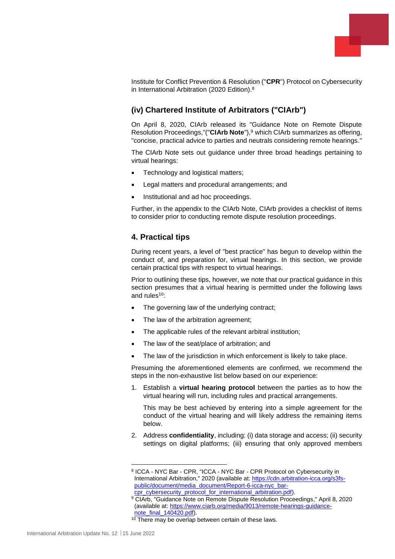

Institute for Conflict Prevention & Resolution ("**CPR**") Protocol on Cybersecurity in International Arbitration (2020 Edition).<sup>8</sup>

#### **(iv) Chartered Institute of Arbitrators ("CIArb")**

On April 8, 2020, CIArb released its "Guidance Note on Remote Dispute Resolution Proceedings,"("**CIArb Note**"), <sup>9</sup> which CIArb summarizes as offering, "concise, practical advice to parties and neutrals considering remote hearings."

The CIArb Note sets out guidance under three broad headings pertaining to virtual hearings:

- Technology and logistical matters;
- Legal matters and procedural arrangements; and
- Institutional and ad hoc proceedings.

Further, in the appendix to the CIArb Note, CIArb provides a checklist of items to consider prior to conducting remote dispute resolution proceedings.

#### **4. Practical tips**

During recent years, a level of "best practice" has begun to develop within the conduct of, and preparation for, virtual hearings. In this section, we provide certain practical tips with respect to virtual hearings.

Prior to outlining these tips, however, we note that our practical guidance in this section presumes that a virtual hearing is permitted under the following laws and rules<sup>10</sup>:

- The governing law of the underlying contract;
- The law of the arbitration agreement;
- The applicable rules of the relevant arbitral institution;
- The law of the seat/place of arbitration; and
- The law of the jurisdiction in which enforcement is likely to take place.

Presuming the aforementioned elements are confirmed, we recommend the steps in the non-exhaustive list below based on our experience:

1. Establish a **virtual hearing protocol** between the parties as to how the virtual hearing will run, including rules and practical arrangements.

This may be best achieved by entering into a simple agreement for the conduct of the virtual hearing and will likely address the remaining items below.

2. Address **confidentiality**, including: (i) data storage and access; (ii) security settings on digital platforms; (iii) ensuring that only approved members

1

<sup>&</sup>lt;sup>8</sup> ICCA - NYC Bar - CPR, "ICCA - NYC Bar - CPR Protocol on Cybersecurity in International Arbitration," 2020 (available at: [https://cdn.arbitration-icca.org/s3fs](https://cdn.arbitration-icca.org/s3fs-public/document/media_document/Report-6-icca-nyc_bar-cpr_cybersecurity_protocol_for_international_arbitration.pdf)[public/document/media\\_document/Report-6-icca-nyc\\_bar](https://cdn.arbitration-icca.org/s3fs-public/document/media_document/Report-6-icca-nyc_bar-cpr_cybersecurity_protocol_for_international_arbitration.pdf)[cpr\\_cybersecurity\\_protocol\\_for\\_international\\_arbitration.pdf\)](https://cdn.arbitration-icca.org/s3fs-public/document/media_document/Report-6-icca-nyc_bar-cpr_cybersecurity_protocol_for_international_arbitration.pdf).

<sup>9</sup> CIArb, "Guidance Note on Remote Dispute Resolution Proceedings," April 8, 2020 (available at: [https://www.ciarb.org/media/9013/remote-hearings-guidance](https://www.ciarb.org/media/9013/remote-hearings-guidance-note_final_140420.pdf)[note\\_final\\_140420.pdf\)](https://www.ciarb.org/media/9013/remote-hearings-guidance-note_final_140420.pdf).

<sup>&</sup>lt;sup>10</sup> There may be overlap between certain of these laws.